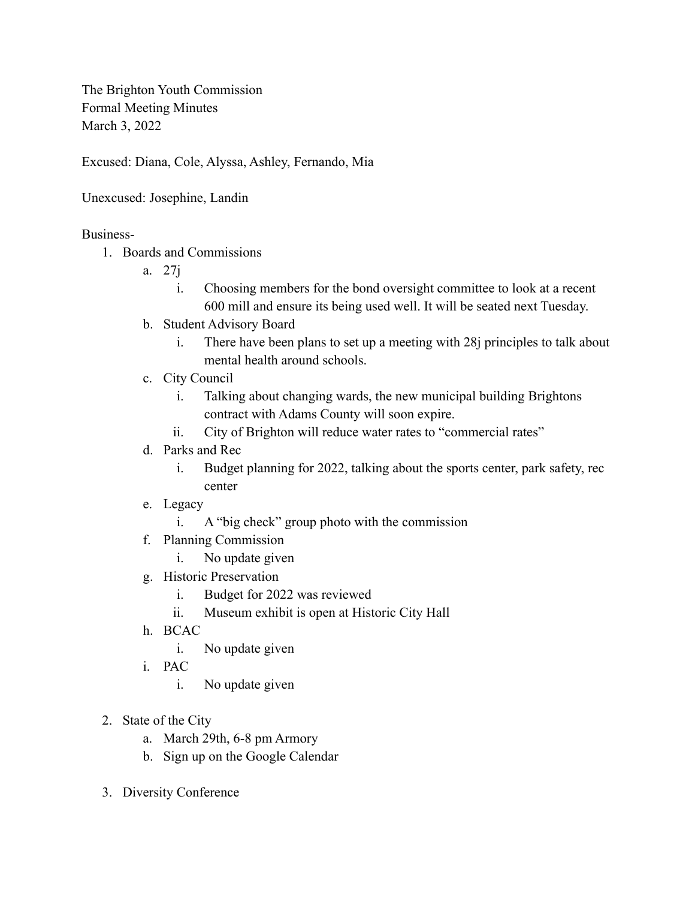The Brighton Youth Commission Formal Meeting Minutes March 3, 2022

Excused: Diana, Cole, Alyssa, Ashley, Fernando, Mia

## Unexcused: Josephine, Landin

## Business-

- 1. Boards and Commissions
	- a. 27j
		- i. Choosing members for the bond oversight committee to look at a recent 600 mill and ensure its being used well. It will be seated next Tuesday.
	- b. Student Advisory Board
		- i. There have been plans to set up a meeting with 28j principles to talk about mental health around schools.
	- c. City Council
		- i. Talking about changing wards, the new municipal building Brightons contract with Adams County will soon expire.
		- ii. City of Brighton will reduce water rates to "commercial rates"

## d. Parks and Rec

- i. Budget planning for 2022, talking about the sports center, park safety, rec center
- e. Legacy
	- i. A "big check" group photo with the commission
- f. Planning Commission
	- i. No update given
- g. Historic Preservation
	- i. Budget for 2022 was reviewed
	- ii. Museum exhibit is open at Historic City Hall
- h. BCAC
	- i. No update given
- i. PAC
	- i. No update given
- 2. State of the City
	- a. March 29th, 6-8 pm Armory
	- b. Sign up on the Google Calendar
- 3. Diversity Conference